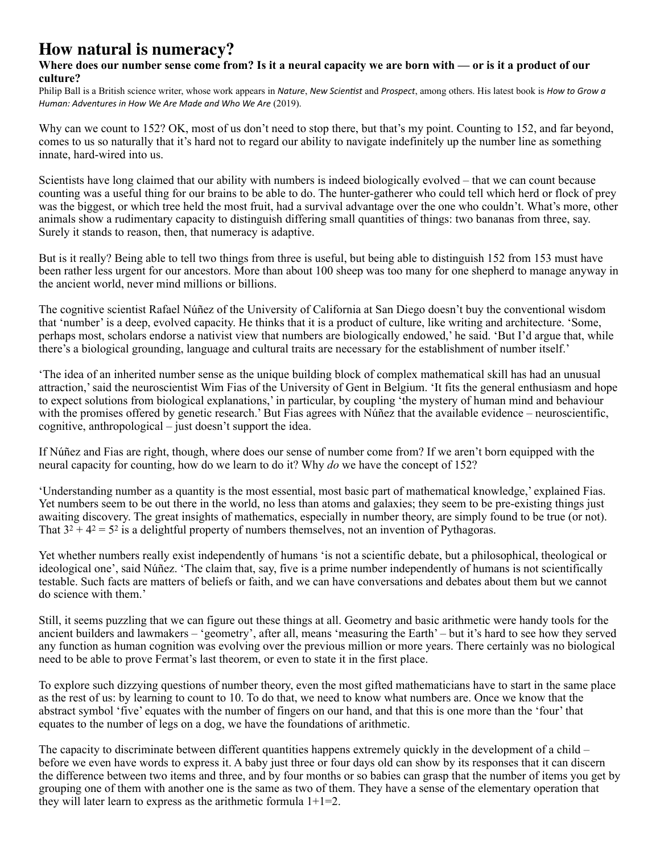## **How natural is numeracy?**

## **Where does our number sense come from? Is it a neural capacity we are born with — or is it a product of our culture?**

[Philip Ball](https://aeon.co/users/philip-ball) is a British science writer, whose work appears in *Nature*, *New Scientist* and *Prospect*, among others. His latest book is *How to Grow a Human: Adventures in How We Are Made and Who We Are (2019).* 

Why can we count to 152? OK, most of us don't need to stop there, but that's my point. Counting to 152, and far beyond, comes to us so naturally that it's hard not to regard our ability to navigate indefinitely up the number line as something innate, hard-wired into us.

Scientists have long claimed that our ability with numbers is indeed biologically evolved – that we can count because counting was a useful thing for our brains to be able to do. The hunter-gatherer who could tell which herd or flock of prey was the biggest, or which tree held the most fruit, had a survival advantage over the one who couldn't. What's more, other animals show a rudimentary capacity to distinguish differing small quantities of things: two bananas from three, say. Surely it stands to reason, then, that numeracy is adaptive.

But is it really? Being able to tell two things from three is useful, but being able to distinguish 152 from 153 must have been rather less urgent for our ancestors. More than about 100 sheep was too many for one shepherd to manage anyway in the ancient world, never mind millions or billions.

The cognitive scientist Rafael Núñez of the University of California at San Diego doesn't buy the conventional wisdom that 'number' is a deep, evolved capacity. He [thinks](http://dx.doi.org/10.1016/j.tics.2017.03.005) that it is a product of culture, like writing and architecture. 'Some, perhaps most, scholars endorse a nativist view that numbers are biologically endowed,' he said. 'But I'd argue that, while there's a biological grounding, language and cultural traits are necessary for the establishment of number itself.'

'The idea of an inherited number sense as the unique building block of complex mathematical skill has had an unusual attraction,' said the neuroscientist Wim Fias of the University of Gent in Belgium. 'It fits the general enthusiasm and hope to expect solutions from biological explanations,' in particular, by coupling 'the mystery of human mind and behaviour with the promises offered by genetic research.' But Fias agrees with Núñez that the available evidence – neuroscientific, cognitive, anthropological – just doesn't support the idea.

If Núñez and Fias are right, though, where does our sense of number come from? If we aren't born equipped with the neural capacity for counting, how do we learn to do it? Why *do* we have the concept of 152?

'Understanding number as a quantity is the most essential, most basic part of mathematical knowledge,' explained Fias. Yet numbers seem to be out there in the world, no less than atoms and galaxies; they seem to be pre-existing things just awaiting discovery. The great insights of mathematics, especially in number theory, are simply found to be true (or not). That  $3^2 + 4^2 = 5^2$  is a delightful property of numbers themselves, not an invention of Pythagoras.

Yet whether numbers really exist independently of humans 'is not a scientific debate, but a philosophical, theological or ideological one', said Núñez. 'The claim that, say, five is a prime number independently of humans is not scientifically testable. Such facts are matters of beliefs or faith, and we can have conversations and debates about them but we cannot do science with them.'

Still, it seems puzzling that we can figure out these things at all. Geometry and basic arithmetic were handy tools for the ancient builders and lawmakers – 'geometry', after all, means 'measuring the Earth' – but it's hard to see how they served any function as human cognition was evolving over the previous million or more years. There certainly was no biological need to be able to prove Fermat's last theorem, or even to state it in the first place.

To explore such dizzying questions of number theory, even the most gifted mathematicians have to start in the same place as the rest of us: by learning to count to 10. To do that, we need to know what numbers are. Once we know that the abstract symbol 'five' equates with the number of fingers on our hand, and that this is one more than the 'four' that equates to the number of legs on a dog, we have the foundations of arithmetic.

The capacity to discriminate between different quantities happens extremely quickly in the development of a child – before we even have words to express it. A baby just three or four days old can show by its responses that it can discern the difference between two items and three, and by four months or so babies can grasp that the number of items you get by grouping one of them with another one is the same as two of them. They have a sense of the elementary operation that they will later learn to express as the arithmetic formula  $1+1=2$ .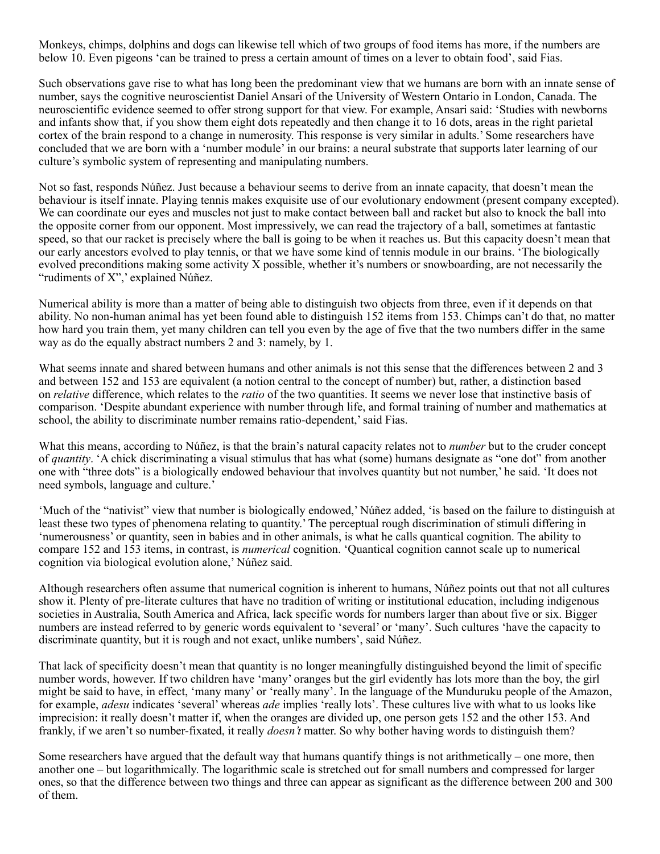Monkeys, chimps, dolphins and [dogs](https://link.springer.com/article/10.1007/s10071-006-0042-7) can likewise tell which of two groups of food items has more, if the numbers are below 10. Even pigeons 'can be trained to press a certain amount of times on a lever to obtain food', said Fias.

Such observations gave rise to what has long been the predominant view that we humans are born with an innate sense of number, says the cognitive neuroscientist Daniel Ansari of the University of Western Ontario in London, Canada. The neuroscientific evidence seemed to offer strong support for that view. For example, Ansari said: 'Studies with newborns and infants show that, if you show them eight dots repeatedly and then change it to 16 dots, areas in the right parietal cortex of the brain respond to a change in numerosity. This response is very similar in adults.' Some researchers have concluded that we are born with a 'number module' in our brains: a neural substrate that supports later learning of our culture's symbolic system of representing and manipulating numbers.

Not so fast, responds Núñez. Just because a behaviour seems to derive from an innate capacity, that doesn't mean the behaviour is itself innate. Playing tennis makes exquisite use of our evolutionary endowment (present company excepted). We can coordinate our eyes and muscles not just to make contact between ball and racket but also to knock the ball into the opposite corner from our opponent. Most impressively, we can read the trajectory of a ball, sometimes at fantastic speed, so that our racket is precisely where the ball is going to be when it reaches us. But this capacity doesn't mean that our early ancestors evolved to play tennis, or that we have some kind of tennis module in our brains. 'The biologically evolved preconditions making some activity X possible, whether it's numbers or snowboarding, are not necessarily the "rudiments of X",' explained Núñez.

Numerical ability is more than a matter of being able to distinguish two objects from three, even if it depends on that ability. No non-human animal has yet been found able to distinguish 152 items from 153. Chimps can't do that, no matter how hard you train them, yet many children can tell you even by the age of five that the two numbers differ in the same way as do the equally abstract numbers 2 and 3: namely, by 1.

What seems innate and shared between humans and other animals is not this sense that the differences between 2 and 3 and between 152 and 153 are equivalent (a notion central to the concept of number) but, rather, a distinction based on *relative* difference, which relates to the *ratio* of the two quantities. It seems we never lose that instinctive basis of comparison. 'Despite abundant experience with number through life, and formal training of number and mathematics at school, the ability to discriminate number remains ratio-dependent,' said Fias.

What this means, according to Núñez, is that the brain's natural capacity relates not to *number* but to the cruder concept of *quantity*. 'A chick discriminating a visual stimulus that has what (some) humans designate as "one dot" from another one with "three dots" is a biologically endowed behaviour that involves quantity but not number,' he said. 'It does not need symbols, language and culture.'

'Much of the "nativist" view that number is biologically endowed,' Núñez added, 'is based on the failure to distinguish at least these two types of phenomena relating to quantity.' The perceptual rough discrimination of stimuli differing in 'numerousness' or quantity, seen in babies and in other animals, is what he calls quantical cognition. The ability to compare 152 and 153 items, in contrast, is *numerical* cognition. 'Quantical cognition cannot scale up to numerical cognition via biological evolution alone,' Núñez said.

Although researchers often assume that numerical cognition is inherent to humans, Núñez points out that not all cultures show it. Plenty of pre-literate cultures that have no tradition of writing or institutional education, including indigenous societies in Australia, South America and Africa, lack specific words for numbers larger than about five or six. Bigger numbers are instead referred to by generic words equivalent to 'several' or 'many'. Such cultures 'have the capacity to discriminate quantity, but it is rough and not exact, unlike numbers', said Núñez.

That lack of specificity doesn't mean that quantity is no longer meaningfully distinguished beyond the limit of specific number words, however. If two children have 'many' oranges but the girl evidently has lots more than the boy, the girl might be said to have, in effect, 'many many' or 'really many'. In the language of the Munduruku people of the Amazon, for example, *adesu* indicates 'several' whereas *ade* implies 'really lots'. These cultures live with what to us looks like imprecision: it really doesn't matter if, when the oranges are divided up, one person gets 152 and the other 153. And frankly, if we aren't so number-fixated, it really *doesn't* matter. So why bother having words to distinguish them?

Some researchers have argued that the default way that humans quantify things is not arithmetically – one more, then another one – but logarithmically. The logarithmic scale is stretched out for small numbers and compressed for larger ones, so that the difference between two things and three can appear as significant as the difference between 200 and 300 of them.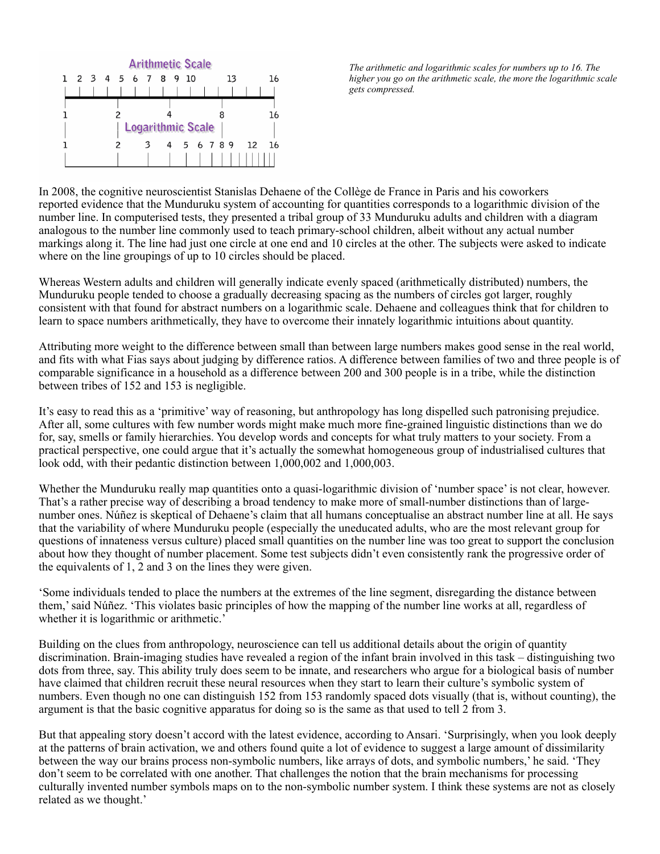

*The arithmetic and logarithmic scales for numbers up to 16. The higher you go on the arithmetic scale, the more the logarithmic scale gets compressed.*

In 2008, the cognitive neuroscientist Stanislas Dehaene of the Collège de France in Paris and his coworkers reported [evidence](http://science.sciencemag.org/content/320/5880/1217) that the Munduruku system of accounting for quantities corresponds to a logarithmic division of the number line. In computerised tests, they presented a tribal group of 33 Munduruku adults and children with a diagram analogous to the number line commonly used to teach primary-school children, albeit without any actual number markings along it. The line had just one circle at one end and 10 circles at the other. The subjects were asked to indicate where on the line groupings of up to 10 circles should be placed.

Whereas Western adults and children will generally indicate evenly spaced (arithmetically distributed) numbers, the Munduruku people tended to choose a gradually decreasing spacing as the numbers of circles got larger, roughly consistent with that found for abstract numbers on a logarithmic scale. Dehaene and colleagues think that for children to learn to space numbers arithmetically, they have to overcome their innately logarithmic intuitions about quantity.

Attributing more weight to the difference between small than between large numbers makes good sense in the real world, and fits with what Fias says about judging by difference ratios. A difference between families of two and three people is of comparable significance in a household as a difference between 200 and 300 people is in a tribe, while the distinction between tribes of 152 and 153 is negligible.

It's easy to read this as a 'primitive' way of reasoning, but anthropology has long dispelled such patronising prejudice. After all, some cultures with few number words might make much more fine-grained linguistic distinctions than we do for, say, smells or family hierarchies. You develop words and concepts for what truly matters to your society. From a practical perspective, one could argue that it's actually the somewhat homogeneous group of industrialised cultures that look odd, with their pedantic distinction between 1,000,002 and 1,000,003.

Whether the Munduruku really map quantities onto a quasi-logarithmic division of 'number space' is not clear, however. That's a rather precise way of describing a broad tendency to make more of small-number distinctions than of largenumber ones. Núñez is skeptical of Dehaene's claim that all humans conceptualise an abstract number line at all. He says that the variability of where Munduruku people (especially the uneducated adults, who are the most relevant group for questions of innateness versus culture) placed small quantities on the number line was too great to support the conclusion about how they thought of number placement. Some test subjects didn't even consistently rank the progressive order of the equivalents of 1, 2 and 3 on the lines they were given.

'Some individuals tended to place the numbers at the extremes of the line segment, disregarding the distance between them,' said Núñez. 'This violates basic principles of how the mapping of the number line works at all, regardless of whether it is logarithmic or arithmetic.'

Building on the clues from anthropology, neuroscience can tell us additional details about the origin of quantity discrimination. Brain-imaging studies have revealed a region of the infant brain involved in this task – distinguishing two dots from three, say. This ability truly does seem to be innate, and researchers who argue for a biological basis of number have claimed that children recruit these neural resources when they start to learn their culture's symbolic system of numbers. Even though no one can distinguish 152 from 153 randomly spaced dots visually (that is, without counting), the argument is that the basic cognitive apparatus for doing so is the same as that used to tell 2 from 3.

But that appealing story doesn't accord with the latest evidence, according to Ansari. 'Surprisingly, when you look deeply at the patterns of brain activation, we and others found quite a lot of evidence to suggest a large amount of dissimilarity between the way our brains process non-symbolic numbers, like arrays of dots, and symbolic numbers,' he said. 'They don't seem to be correlated with one another. That challenges the notion that the brain mechanisms for processing culturally invented number symbols maps on to the non-symbolic number system. I think these systems are not as closely related as we thought.'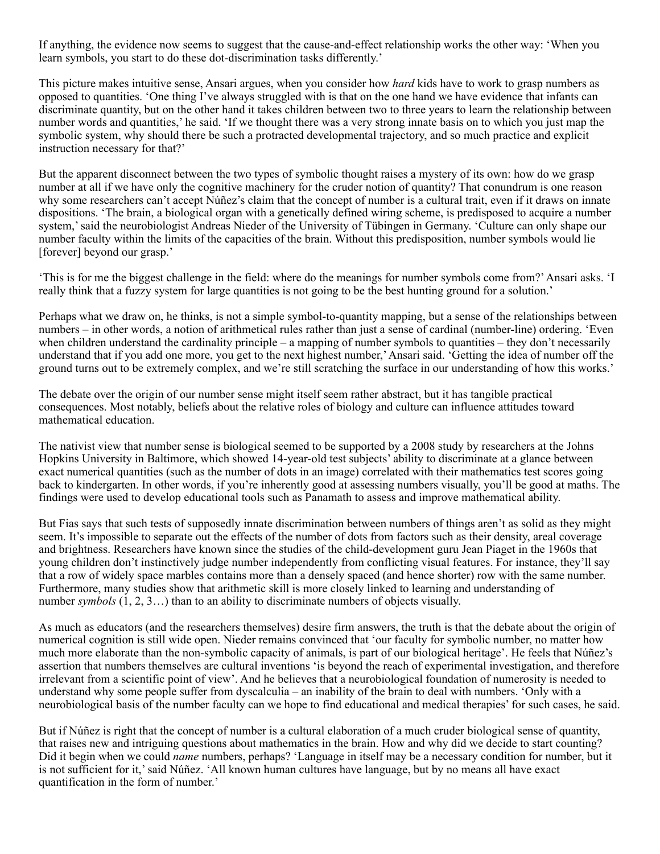If anything, the evidence now seems to suggest that the cause-and-effect relationship works the other way: 'When you learn symbols, you start to do these dot-discrimination tasks differently.'

This picture makes intuitive sense, Ansari argues, when you consider how *hard* kids have to work to grasp numbers as opposed to quantities. 'One thing I've always struggled with is that on the one hand we have evidence that infants can discriminate quantity, but on the other hand it takes children between two to three years to learn the relationship between number words and quantities,' he said. 'If we thought there was a very strong innate basis on to which you just map the symbolic system, why should there be such a protracted developmental trajectory, and so much practice and explicit instruction necessary for that?'

But the apparent disconnect between the two types of symbolic thought raises a mystery of its own: how do we grasp number at all if we have only the cognitive machinery for the cruder notion of quantity? That conundrum is one reason why some researchers can't accept Núñez's claim that the concept of number is a cultural trait, even if it draws on innate dispositions. 'The brain, a biological organ with a genetically defined wiring scheme, is predisposed to acquire a number system,' said the neurobiologist Andreas Nieder of the University of Tübingen in Germany. 'Culture can only shape our number faculty within the limits of the capacities of the brain. Without this predisposition, number symbols would lie [forever] beyond our grasp.'

'This is for me the biggest challenge in the field: where do the meanings for number symbols come from?' Ansari asks. 'I really think that a fuzzy system for large quantities is not going to be the best hunting ground for a solution.'

Perhaps what we draw on, he thinks, is not a simple symbol-to-quantity mapping, but a sense of the relationships between numbers – in other words, a notion of arithmetical rules rather than just a sense of cardinal (number-line) ordering. 'Even when children understand the cardinality principle – a mapping of number symbols to quantities – they don't necessarily understand that if you add one more, you get to the next highest number,' Ansari said. 'Getting the idea of number off the ground turns out to be extremely complex, and we're still scratching the surface in our understanding of how this works.'

The debate over the origin of our number sense might itself seem rather abstract, but it has tangible practical consequences. Most notably, beliefs about the relative roles of biology and culture can influence attitudes toward mathematical education.

The nativist view that number sense is biological seemed to be supported by a 2008 [study](http://www.nature.com/nature/journal/v455/n7213/full/nature07246.html) by researchers at the Johns Hopkins University in Baltimore, which showed 14-year-old test subjects' ability to discriminate at a glance between exact numerical quantities (such as the number of dots in an image) correlated with their mathematics test scores going back to kindergarten. In other words, if you're inherently good at assessing numbers visually, you'll be good at maths. The findings were used to develop educational tools such as [Panamath](http://panamath.org/) to assess and improve mathematical ability.

But Fias says that such tests of supposedly innate discrimination between numbers of things aren't as solid as they might seem. It's impossible to separate out the effects of the number of dots from factors such as their density, areal coverage and brightness. Researchers have known since the studies of the child-development guru Jean Piaget in the 1960s that young children don't instinctively judge number independently from conflicting visual features. For instance, they'll say that a row of widely space marbles contains more than a densely spaced (and hence shorter) row with the same number. Furthermore, many [studies](https://www.researchgate.net/publication/301759711_Why_numerical_symbols_count_in_the_development_of_mathematical_skills_Evidence_from_brain_and_behavior) show that arithmetic skill is more closely linked to learning and understanding of number *symbols*  $(1, 2, 3...)$  than to an ability to discriminate numbers of objects visually.

As much as educators (and the researchers themselves) desire firm answers, the truth is that the debate about the origin of numerical cognition is still wide open. Nieder remains [convinced](http://www.cell.com/trends/cognitive-sciences/fulltext/S1364-6613(17)30057-8) that 'our faculty for symbolic number, no matter how much more elaborate than the non-symbolic capacity of animals, is part of our biological heritage'. He feels that Núñez's assertion that numbers themselves are cultural inventions 'is beyond the reach of experimental investigation, and therefore irrelevant from a scientific point of view'. And he believes that a neurobiological foundation of numerosity is needed to understand why some people suffer from dyscalculia – an inability of the brain to deal with numbers. 'Only with a neurobiological basis of the number faculty can we hope to find educational and medical therapies' for such cases, he said.

But if Núñez is right that the concept of number is a cultural elaboration of a much cruder biological sense of quantity, that raises new and intriguing questions about mathematics in the brain. How and why did we decide to start counting? Did it begin when we could *name* numbers, perhaps? 'Language in itself may be a necessary condition for number, but it is not sufficient for it,' said Núñez. 'All known human cultures have language, but by no means all have exact quantification in the form of number.'